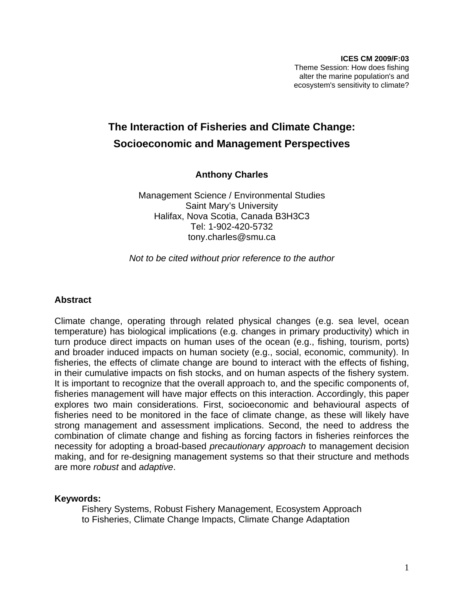# **The Interaction of Fisheries and Climate Change: Socioeconomic and Management Perspectives**

**Anthony Charles**

Management Science / Environmental Studies Saint Mary's University Halifax, Nova Scotia, Canada B3H3C3 Tel: 1-902-420-5732 tony.charles@smu.ca

*Not to be cited without prior reference to the author* 

#### **Abstract**

Climate change, operating through related physical changes (e.g. sea level, ocean temperature) has biological implications (e.g. changes in primary productivity) which in turn produce direct impacts on human uses of the ocean (e.g., fishing, tourism, ports) and broader induced impacts on human society (e.g., social, economic, community). In fisheries, the effects of climate change are bound to interact with the effects of fishing, in their cumulative impacts on fish stocks, and on human aspects of the fishery system. It is important to recognize that the overall approach to, and the specific components of, fisheries management will have major effects on this interaction. Accordingly, this paper explores two main considerations. First, socioeconomic and behavioural aspects of fisheries need to be monitored in the face of climate change, as these will likely have strong management and assessment implications. Second, the need to address the combination of climate change and fishing as forcing factors in fisheries reinforces the necessity for adopting a broad-based *precautionary approach* to management decision making, and for re-designing management systems so that their structure and methods are more *robust* and *adaptive*.

#### **Keywords:**

Fishery Systems, Robust Fishery Management, Ecosystem Approach to Fisheries, Climate Change Impacts, Climate Change Adaptation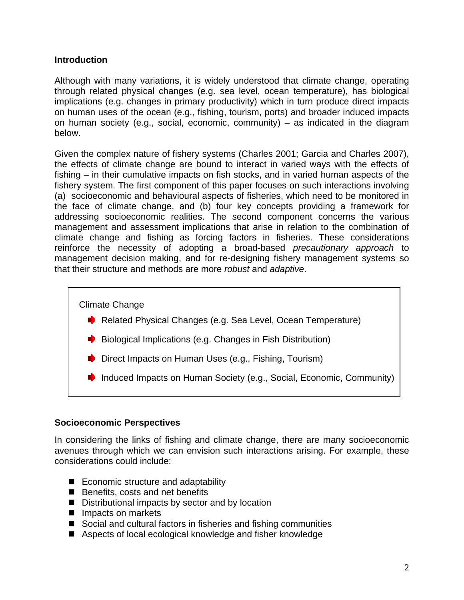### **Introduction**

Although with many variations, it is widely understood that climate change, operating through related physical changes (e.g. sea level, ocean temperature), has biological implications (e.g. changes in primary productivity) which in turn produce direct impacts on human uses of the ocean (e.g., fishing, tourism, ports) and broader induced impacts on human society (e.g., social, economic, community) – as indicated in the diagram below.

Given the complex nature of fishery systems (Charles 2001; Garcia and Charles 2007), the effects of climate change are bound to interact in varied ways with the effects of fishing – in their cumulative impacts on fish stocks, and in varied human aspects of the fishery system. The first component of this paper focuses on such interactions involving (a) socioeconomic and behavioural aspects of fisheries, which need to be monitored in the face of climate change, and (b) four key concepts providing a framework for addressing socioeconomic realities. The second component concerns the various management and assessment implications that arise in relation to the combination of climate change and fishing as forcing factors in fisheries. These considerations reinforce the necessity of adopting a broad-based *precautionary approach* to management decision making, and for re-designing fishery management systems so that their structure and methods are more *robust* and *adaptive*.

Climate Change

- Related Physical Changes (e.g. Sea Level, Ocean Temperature)
- $\blacktriangleright$  Biological Implications (e.g. Changes in Fish Distribution)
- Direct Impacts on Human Uses (e.g., Fishing, Tourism)
- Induced Impacts on Human Society (e.g., Social, Economic, Community)

#### **Socioeconomic Perspectives**

In considering the links of fishing and climate change, there are many socioeconomic avenues through which we can envision such interactions arising. For example, these considerations could include:

- Economic structure and adaptability
- Benefits, costs and net benefits
- Distributional impacts by sector and by location
- Impacts on markets
- Social and cultural factors in fisheries and fishing communities
- Aspects of local ecological knowledge and fisher knowledge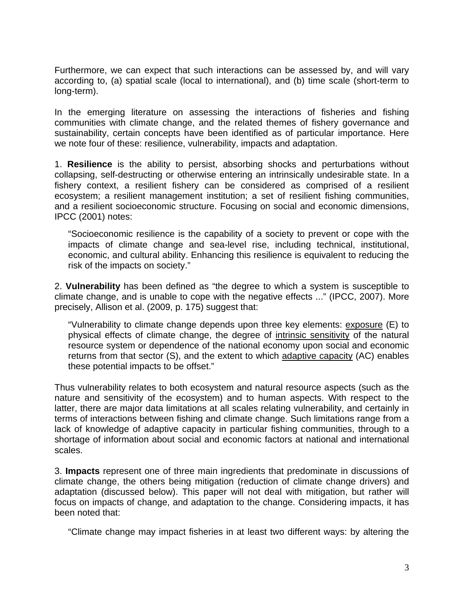Furthermore, we can expect that such interactions can be assessed by, and will vary according to, (a) spatial scale (local to international), and (b) time scale (short-term to long-term).

In the emerging literature on assessing the interactions of fisheries and fishing communities with climate change, and the related themes of fishery governance and sustainability, certain concepts have been identified as of particular importance. Here we note four of these: resilience, vulnerability, impacts and adaptation.

1. **Resilience** is the ability to persist, absorbing shocks and perturbations without collapsing, self-destructing or otherwise entering an intrinsically undesirable state. In a fishery context, a resilient fishery can be considered as comprised of a resilient ecosystem; a resilient management institution; a set of resilient fishing communities, and a resilient socioeconomic structure. Focusing on social and economic dimensions, IPCC (2001) notes:

"Socioeconomic resilience is the capability of a society to prevent or cope with the impacts of climate change and sea-level rise, including technical, institutional, economic, and cultural ability. Enhancing this resilience is equivalent to reducing the risk of the impacts on society."

2. **Vulnerability** has been defined as "the degree to which a system is susceptible to climate change, and is unable to cope with the negative effects ..." (IPCC, 2007). More precisely, Allison et al. (2009, p. 175) suggest that:

"Vulnerability to climate change depends upon three key elements: exposure (E) to physical effects of climate change, the degree of intrinsic sensitivity of the natural resource system or dependence of the national economy upon social and economic returns from that sector (S), and the extent to which adaptive capacity (AC) enables these potential impacts to be offset."

Thus vulnerability relates to both ecosystem and natural resource aspects (such as the nature and sensitivity of the ecosystem) and to human aspects. With respect to the latter, there are major data limitations at all scales relating vulnerability, and certainly in terms of interactions between fishing and climate change. Such limitations range from a lack of knowledge of adaptive capacity in particular fishing communities, through to a shortage of information about social and economic factors at national and international scales.

3. **Impacts** represent one of three main ingredients that predominate in discussions of climate change, the others being mitigation (reduction of climate change drivers) and adaptation (discussed below). This paper will not deal with mitigation, but rather will focus on impacts of change, and adaptation to the change. Considering impacts, it has been noted that:

"Climate change may impact fisheries in at least two different ways: by altering the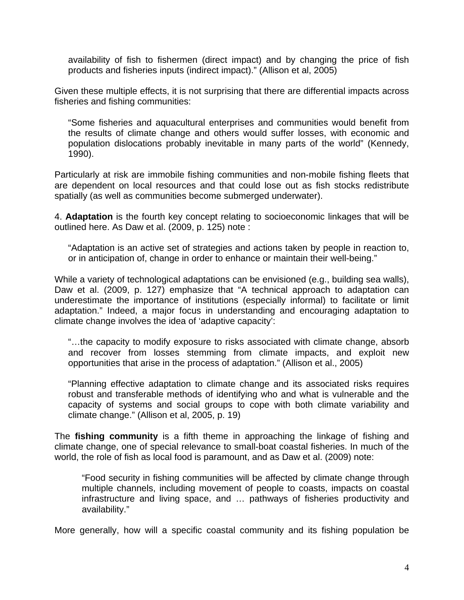availability of fish to fishermen (direct impact) and by changing the price of fish products and fisheries inputs (indirect impact)." (Allison et al, 2005)

Given these multiple effects, it is not surprising that there are differential impacts across fisheries and fishing communities:

"Some fisheries and aquacultural enterprises and communities would benefit from the results of climate change and others would suffer losses, with economic and population dislocations probably inevitable in many parts of the world" (Kennedy, 1990).

Particularly at risk are immobile fishing communities and non-mobile fishing fleets that are dependent on local resources and that could lose out as fish stocks redistribute spatially (as well as communities become submerged underwater).

4. **Adaptation** is the fourth key concept relating to socioeconomic linkages that will be outlined here. As Daw et al. (2009, p. 125) note :

"Adaptation is an active set of strategies and actions taken by people in reaction to, or in anticipation of, change in order to enhance or maintain their well-being."

While a variety of technological adaptations can be envisioned (e.g., building sea walls), Daw et al. (2009, p. 127) emphasize that "A technical approach to adaptation can underestimate the importance of institutions (especially informal) to facilitate or limit adaptation." Indeed, a major focus in understanding and encouraging adaptation to climate change involves the idea of 'adaptive capacity':

"…the capacity to modify exposure to risks associated with climate change, absorb and recover from losses stemming from climate impacts, and exploit new opportunities that arise in the process of adaptation." (Allison et al., 2005)

"Planning effective adaptation to climate change and its associated risks requires robust and transferable methods of identifying who and what is vulnerable and the capacity of systems and social groups to cope with both climate variability and climate change." (Allison et al, 2005, p. 19)

The **fishing community** is a fifth theme in approaching the linkage of fishing and climate change, one of special relevance to small-boat coastal fisheries. In much of the world, the role of fish as local food is paramount, and as Daw et al. (2009) note:

"Food security in fishing communities will be affected by climate change through multiple channels, including movement of people to coasts, impacts on coastal infrastructure and living space, and … pathways of fisheries productivity and availability."

More generally, how will a specific coastal community and its fishing population be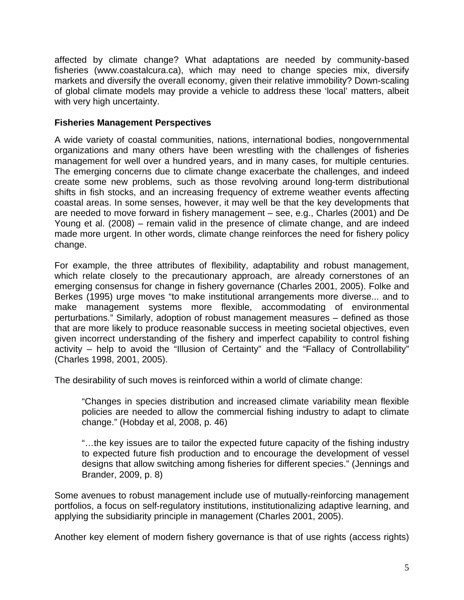affected by climate change? What adaptations are needed by community-based fisheries (www.coastalcura.ca), which may need to change species mix, diversify markets and diversify the overall economy, given their relative immobility? Down-scaling of global climate models may provide a vehicle to address these 'local' matters, albeit with very high uncertainty.

## **Fisheries Management Perspectives**

A wide variety of coastal communities, nations, international bodies, nongovernmental organizations and many others have been wrestling with the challenges of fisheries management for well over a hundred years, and in many cases, for multiple centuries. The emerging concerns due to climate change exacerbate the challenges, and indeed create some new problems, such as those revolving around long-term distributional shifts in fish stocks, and an increasing frequency of extreme weather events affecting coastal areas. In some senses, however, it may well be that the key developments that are needed to move forward in fishery management – see, e.g., Charles (2001) and De Young et al. (2008) – remain valid in the presence of climate change, and are indeed made more urgent. In other words, climate change reinforces the need for fishery policy change.

For example, the three attributes of flexibility, adaptability and robust management, which relate closely to the precautionary approach, are already cornerstones of an emerging consensus for change in fishery governance (Charles 2001, 2005). Folke and Berkes (1995) urge moves "to make institutional arrangements more diverse... and to make management systems more flexible, accommodating of environmental perturbations." Similarly, adoption of robust management measures – defined as those that are more likely to produce reasonable success in meeting societal objectives, even given incorrect understanding of the fishery and imperfect capability to control fishing activity – help to avoid the "Illusion of Certainty" and the "Fallacy of Controllability" (Charles 1998, 2001, 2005).

The desirability of such moves is reinforced within a world of climate change:

"Changes in species distribution and increased climate variability mean flexible policies are needed to allow the commercial fishing industry to adapt to climate change." (Hobday et al, 2008, p. 46)

"…the key issues are to tailor the expected future capacity of the fishing industry to expected future fish production and to encourage the development of vessel designs that allow switching among fisheries for different species." (Jennings and Brander, 2009, p. 8)

Some avenues to robust management include use of mutually-reinforcing management portfolios, a focus on self-regulatory institutions, institutionalizing adaptive learning, and applying the subsidiarity principle in management (Charles 2001, 2005).

Another key element of modern fishery governance is that of use rights (access rights)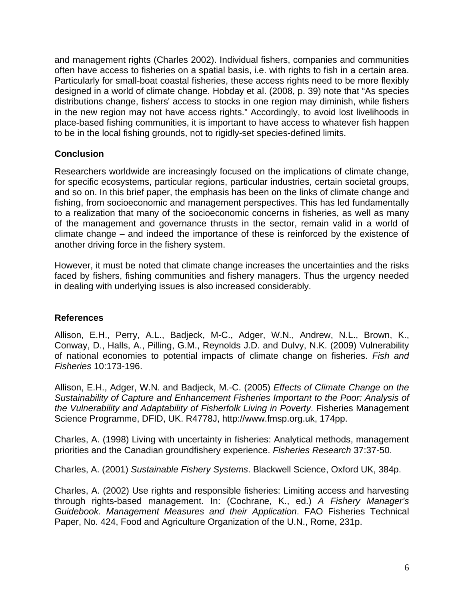and management rights (Charles 2002). Individual fishers, companies and communities often have access to fisheries on a spatial basis, i.e. with rights to fish in a certain area. Particularly for small-boat coastal fisheries, these access rights need to be more flexibly designed in a world of climate change. Hobday et al. (2008, p. 39) note that "As species distributions change, fishers' access to stocks in one region may diminish, while fishers in the new region may not have access rights." Accordingly, to avoid lost livelihoods in place-based fishing communities, it is important to have access to whatever fish happen to be in the local fishing grounds, not to rigidly-set species-defined limits.

## **Conclusion**

Researchers worldwide are increasingly focused on the implications of climate change, for specific ecosystems, particular regions, particular industries, certain societal groups, and so on. In this brief paper, the emphasis has been on the links of climate change and fishing, from socioeconomic and management perspectives. This has led fundamentally to a realization that many of the socioeconomic concerns in fisheries, as well as many of the management and governance thrusts in the sector, remain valid in a world of climate change – and indeed the importance of these is reinforced by the existence of another driving force in the fishery system.

However, it must be noted that climate change increases the uncertainties and the risks faced by fishers, fishing communities and fishery managers. Thus the urgency needed in dealing with underlying issues is also increased considerably.

#### **References**

Allison, E.H., Perry, A.L., Badjeck, M-C., Adger, W.N., Andrew, N.L., Brown, K., Conway, D., Halls, A., Pilling, G.M., Reynolds J.D. and Dulvy, N.K. (2009) Vulnerability of national economies to potential impacts of climate change on fisheries. *Fish and Fisheries* 10:173-196.

Allison, E.H., Adger, W.N. and Badjeck, M.-C. (2005) *Effects of Climate Change on the Sustainability of Capture and Enhancement Fisheries Important to the Poor: Analysis of the Vulnerability and Adaptability of Fisherfolk Living in Poverty*. Fisheries Management Science Programme, DFID, UK. R4778J, http://www.fmsp.org.uk, 174pp.

Charles, A. (1998) Living with uncertainty in fisheries: Analytical methods, management priorities and the Canadian groundfishery experience. *Fisheries Research* 37:37-50.

Charles, A. (2001) *Sustainable Fishery Systems*. Blackwell Science, Oxford UK, 384p.

Charles, A. (2002) Use rights and responsible fisheries: Limiting access and harvesting through rights-based management. In: (Cochrane, K., ed.) *A Fishery Manager's Guidebook. Management Measures and their Application*. FAO Fisheries Technical Paper, No. 424, Food and Agriculture Organization of the U.N., Rome, 231p.